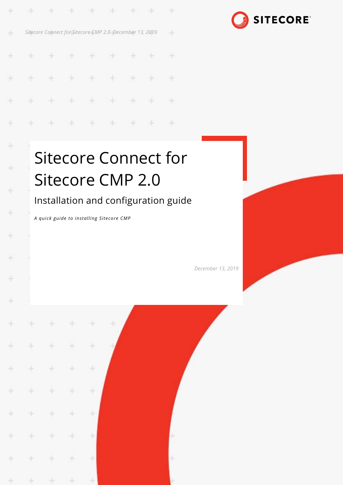| ÷  |     |         |       | .                                                       |       | 92 | æ        |
|----|-----|---------|-------|---------------------------------------------------------|-------|----|----------|
| ♦  |     |         |       | Sitecore Connect for Sitecore CMP 2.0 December 13, 2019 |       |    | 95       |
| ÷  |     |         |       | .                                                       |       |    | $\oplus$ |
| Ł  | $+$ | $+$     | $\pm$ | $+ + + + + +$                                           |       |    | æ        |
| ÷  | ÷   | $+$ $-$ |       | * * * * *                                               |       |    | æ        |
| ÷. | 守   | +       | $+$   | $+$                                                     | $+ +$ | æ  | æ        |



# Sitecore Connect for Sitecore CMP 2.0

# Installation and configuration guide

*A quick guide to installing Sitecore CMP*

ą.

 $\frac{1}{2}$ 

 $\frac{1}{2}$ 

÷

÷

÷

÷

÷

÷

÷

÷

÷

÷

¥

÷

÷

÷

÷

÷

ą.

4

÷

÷

÷

÷

÷

÷

÷

÷

÷

4

ą,

÷

*December 13, 2019*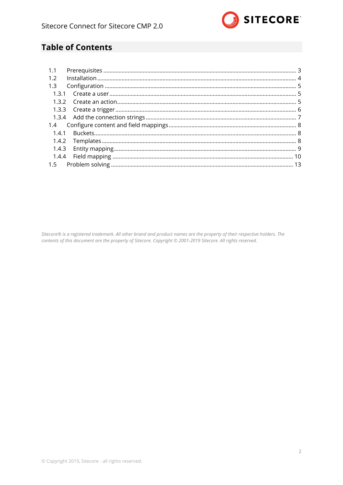

# **Table of Contents**

| 1.1   |  |
|-------|--|
| 1.2   |  |
| 1.3   |  |
|       |  |
|       |  |
|       |  |
|       |  |
|       |  |
| 1.4.1 |  |
|       |  |
| 1.4.3 |  |
|       |  |
| 1.5   |  |

Sitecore® is a registered trademark. All other brand and product names are the property of their respective holders. The contents of this document are the property of Sitecore. Copyright © 2001-2019 Sitecore. All rights reserved.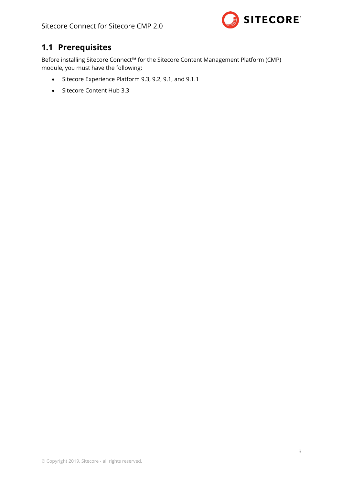

# <span id="page-2-0"></span>**1.1 Prerequisites**

Before installing Sitecore Connect™ for the Sitecore Content Management Platform (CMP) module, you must have the following:

- Sitecore Experience Platform 9.3, 9.2, 9.1, and 9.1.1
- Sitecore Content Hub 3.3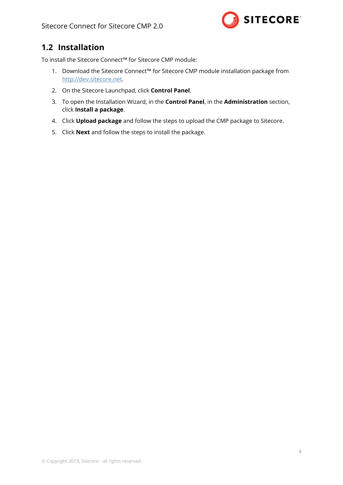

# <span id="page-3-0"></span>**1.2 Installation**

To install the Sitecore Connect™ for Sitecore CMP module:

- 1. Download the Sitecore Connect™ for Sitecore CMP module installation package from http://dev.sitecore.net.
- 2. On the Sitecore Launchpad, click **Control Panel**.
- 3. To open the Installation Wizard, in the **Control Panel**, in the **Administration** section, click **Install a package**.
- 4. Click **Upload package** and follow the steps to upload the CMP package to Sitecore.
- 5. Click **Next** and follow the steps to install the package.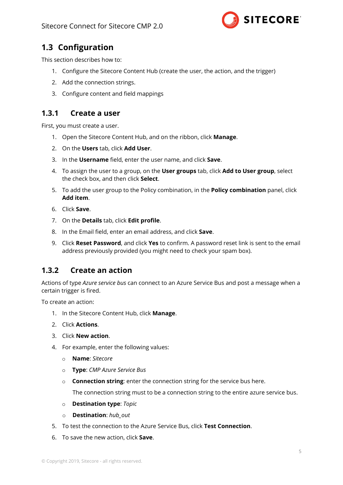

# <span id="page-4-0"></span>**1.3 Configuration**

This section describes how to:

- 1. Configure the Sitecore Content Hub (create the user, the action, and the trigger)
- 2. Add the connection strings.
- 3. Configure content and field mappings

## <span id="page-4-1"></span>**1.3.1 Create a user**

First, you must create a user.

- 1. Open the Sitecore Content Hub, and on the ribbon, click **Manage**.
- 2. On the **Users** tab, click **Add User**.
- 3. In the **Username** field, enter the user name, and click **Save**.
- 4. To assign the user to a group, on the **User groups** tab, click **Add to User group**, select the check box, and then click **Select**.
- 5. To add the user group to the Policy combination, in the **Policy combination** panel, click **Add item**.
- 6. Click **Save**.
- 7. On the **Details** tab, click **Edit profile**.
- 8. In the Email field, enter an email address, and click **Save**.
- 9. Click **Reset Password**, and click **Yes** to confirm. A password reset link is sent to the email address previously provided (you might need to check your spam box).

## <span id="page-4-2"></span>**1.3.2 Create an action**

Actions of type *Azure service bus* can connect to an Azure Service Bus and post a message when a certain trigger is fired.

To create an action:

- 1. In the Sitecore Content Hub, click **Manage**.
- 2. Click **Actions**.
- 3. Click **New action**.
- 4. For example, enter the following values:
	- o **Name**: *Sitecore*
	- o **Type**: *CMP Azure Service Bus*
	- o **Connection string**: enter the connection string for the service bus here.

The connection string must to be a connection string to the entire azure service bus.

- o **Destination type**: *Topic*
- o **Destination**: *hub\_out*
- 5. To test the connection to the Azure Service Bus, click **Test Connection**.
- 6. To save the new action, click **Save**.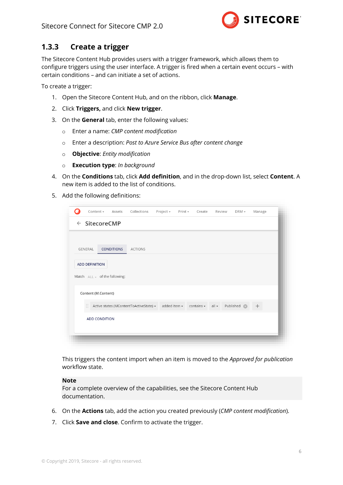

## <span id="page-5-0"></span>**1.3.3 Create a trigger**

The Sitecore Content Hub provides users with a trigger framework, which allows them to configure triggers using the user interface. A trigger is fired when a certain event occurs – with certain conditions – and can initiate a set of actions.

To create a trigger:

- 1. Open the Sitecore Content Hub, and on the ribbon, click **Manage**.
- 2. Click **Triggers,** and click **New trigger**.
- 3. On the **General** tab, enter the following values:
	- o Enter a name: *CMP content modification*
	- o Enter a description: *Post to Azure Service Bus after content change*
	- o **Objective**: *Entity modification*
	- o **Execution type**: *In background*
- 4. On the **Conditions** tab, click **Add definition**, and in the drop-down list, select **Content**. A new item is added to the list of conditions.
- 5. Add the following definitions:

| Content $\sim$        |                                      | Assets Collections                      | Project -          | Print - | Create          | Review  | DRM -                  | Manage |  |
|-----------------------|--------------------------------------|-----------------------------------------|--------------------|---------|-----------------|---------|------------------------|--------|--|
|                       | $\leftarrow$ SitecoreCMP             |                                         |                    |         |                 |         |                        |        |  |
| GENERAL               | <b>CONDITIONS</b>                    | <b>ACTIONS</b>                          |                    |         |                 |         |                        |        |  |
| <b>ADD DEFINITION</b> | Match $ALL \neq 0$ of the following: |                                         |                    |         |                 |         |                        |        |  |
| Content (M.Content)   |                                      |                                         |                    |         |                 |         |                        |        |  |
| B                     |                                      | Active states (MContentToActiveState) - | added item $\star$ |         | contains $\sim$ | $all -$ | Published <sup>8</sup> | $^{+}$ |  |
| <b>ADD CONDITION</b>  |                                      |                                         |                    |         |                 |         |                        |        |  |
|                       |                                      |                                         |                    |         |                 |         |                        |        |  |

This triggers the content import when an item is moved to the *Approved for publication* workflow state.

#### **Note**

For a complete overview of the capabilities, see the Sitecore Content Hub documentation.

- 6. On the **Actions** tab, add the action you created previously (*CMP content modification*).
- 7. Click **Save and close**. Confirm to activate the trigger.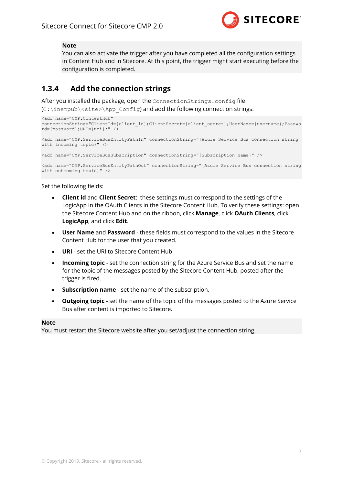

#### **Note**

You can also activate the trigger after you have completed all the configuration settings in Content Hub and in Sitecore. At this point, the trigger might start executing before the configuration is completed.

## <span id="page-6-0"></span>**1.3.4 Add the connection strings**

After you installed the package, open the ConnectionStrings.config file (C:\inetpub\<site>\App\_Config) and add the following connection strings:

```
<add name="CMP.ContentHub" 
connectionString="ClientId={client_id};ClientSecret={client_secret};UserName={username};Passwo
rd={password};URI={uri};" />
```

```
<add name="CMP.ServiceBusEntityPathIn" connectionString="{Azure Service Bus connection string 
with incoming topic}" />
```

```
<add name="CMP.ServiceBusSubscription" connectionString="{Subscription name}" />
```

```
<add name="CMP.ServiceBusEntityPathOut" connectionString="{Azure Service Bus connection string 
with outcoming topic}" />
```
Set the following fields:

- **Client id** and **Client Secret**: these settings must correspond to the settings of the LogicApp in the OAuth Clients in the Sitecore Content Hub. To verify these settings: open the Sitecore Content Hub and on the ribbon, click **Manage**, click **OAuth Clients**, click **LogicApp**, and click **Edit**.
- **User Name** and **Password** these fields must correspond to the values in the Sitecore Content Hub for the user that you created.
- **URI** set the URI to Sitecore Content Hub
- **Incoming topic** set the connection string for the Azure Service Bus and set the name for the topic of the messages posted by the Sitecore Content Hub, posted after the trigger is fired.
- **Subscription name** set the name of the subscription.
- **Outgoing topic** set the name of the topic of the messages posted to the Azure Service Bus after content is imported to Sitecore.

#### **Note**

You must restart the Sitecore website after you set/adjust the connection string.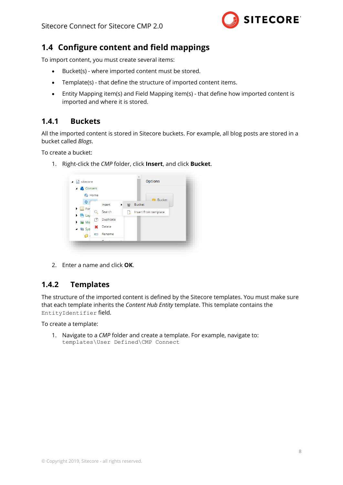

## <span id="page-7-0"></span>**1.4 Configure content and field mappings**

To import content, you must create several items:

- Bucket(s) where imported content must be stored.
- Template(s) that define the structure of imported content items.
- Entity Mapping item(s) and Field Mapping item(s) that define how imported content is imported and where it is stored.

## <span id="page-7-1"></span>**1.4.1 Buckets**

All the imported content is stored in Sitecore buckets. For example, all blog posts are stored in a bucket called *Blogs*.

To create a bucket:

1. Right-click the *CMP* folder, click **Insert**, and click **Bucket**.



2. Enter a name and click **OK**.

## <span id="page-7-2"></span>**1.4.2 Templates**

The structure of the imported content is defined by the Sitecore templates. You must make sure that each template inherits the *Content Hub Entity* template. This template contains the EntityIdentifier field.

To create a template:

1. Navigate to a *CMP* folder and create a template. For example, navigate to: templates\User Defined\CMP Connect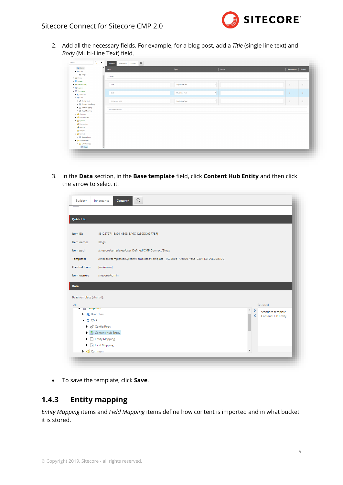

2. Add all the necessary fields. For example, for a blog post, add a *Title* (single line text) and *Body* (Multi-Line Text) field.

| <b>G</b> Home<br>$-4$ $-6$ CMP                     | $\overline{\phantom{a}}$<br><b>Name</b> | Type             | Source       | Unversioned Shared                          |                                                                         |
|----------------------------------------------------|-----------------------------------------|------------------|--------------|---------------------------------------------|-------------------------------------------------------------------------|
| <b>W</b> Blogs                                     | Content                                 |                  |              |                                             |                                                                         |
| $\blacktriangleright$ $\blacksquare$ Forms         |                                         |                  |              |                                             |                                                                         |
| ▶ 图 Layout                                         |                                         |                  |              |                                             |                                                                         |
| I a Media Library                                  | Title                                   | Single-Line Text | $\tau$       | $\qquad \qquad \qquad \qquad \qquad \qquad$ | $\qquad \qquad \qquad \qquad \qquad \qquad \qquad \qquad \qquad \qquad$ |
| > Mill System                                      |                                         |                  |              |                                             |                                                                         |
| <b>A E</b> Templates                               |                                         |                  | $\mathbf{v}$ |                                             |                                                                         |
| <b>F R</b> Branches                                | Body                                    | Multi-Line Text  |              | $\qquad \qquad \Box$                        | $\qquad \qquad \Box$                                                    |
| $\triangleq$ $\Phi$ CMP.                           |                                         |                  |              |                                             |                                                                         |
| $\blacktriangleright$ $\#$ Config Root             | Add a new field                         | Single-Line Text | $\mathbf{v}$ | $\qquad \qquad \qquad \qquad \qquad \qquad$ | $\qquad \qquad \qquad \qquad \qquad \qquad \qquad \qquad \qquad \qquad$ |
| Content Hub Entity                                 |                                         |                  |              |                                             |                                                                         |
| Entity Mapping                                     |                                         |                  |              |                                             |                                                                         |
| Field Mapping                                      | Add a new section                       |                  |              |                                             |                                                                         |
| $\blacktriangleright$ $\blacktriangleright$ Common |                                         |                  |              |                                             |                                                                         |
| 1 G List Manager                                   |                                         |                  |              |                                             |                                                                         |
| D G System                                         |                                         |                  |              |                                             |                                                                         |
| Foundation                                         |                                         |                  |              |                                             |                                                                         |
| Feature                                            |                                         |                  |              |                                             |                                                                         |
| <b>Project</b>                                     |                                         |                  |              |                                             |                                                                         |
| $\triangleq$ Sample                                |                                         |                  |              |                                             |                                                                         |
| $\blacktriangleright$ $\Box$ Sample Item           |                                         |                  |              |                                             |                                                                         |
| 4 G User Defined                                   |                                         |                  |              |                                             |                                                                         |
|                                                    |                                         |                  |              |                                             |                                                                         |
| CMP Connect                                        |                                         |                  |              |                                             |                                                                         |

3. In the **Data** section, in the **Base template** field, click **Content Hub Entity** and then click the arrow to select it.

| <b>Quick Info</b>            |                                                                                        |  |  |                    |  |  |  |  |
|------------------------------|----------------------------------------------------------------------------------------|--|--|--------------------|--|--|--|--|
| Item ID:                     | {B1227571-EA91-4303-BA6C-1280DD0577BF}                                                 |  |  |                    |  |  |  |  |
| Item name:                   | Blogs                                                                                  |  |  |                    |  |  |  |  |
| Item path:                   | /sitecore/templates/User Defined/CMP Connect/Blogs                                     |  |  |                    |  |  |  |  |
| Template:                    | /sitecore/templates/System/Templates/Template - {AB86861A-6030-46C5-B394-E8F99E8B87DB} |  |  |                    |  |  |  |  |
| <b>Created from:</b>         | [unknown]                                                                              |  |  |                    |  |  |  |  |
| Item owner:                  | sitecore\Admin                                                                         |  |  |                    |  |  |  |  |
| <b>Data</b>                  |                                                                                        |  |  |                    |  |  |  |  |
| Base template [shared]:      |                                                                                        |  |  |                    |  |  |  |  |
| All                          |                                                                                        |  |  | Selected           |  |  |  |  |
| <b>4</b> El Templates        |                                                                                        |  |  | Standard template  |  |  |  |  |
| Þ.                           | <b>Branches</b>                                                                        |  |  | Content Hub Entity |  |  |  |  |
|                              |                                                                                        |  |  |                    |  |  |  |  |
| O CMP                        |                                                                                        |  |  |                    |  |  |  |  |
| → d <sup>8</sup> Config Root |                                                                                        |  |  |                    |  |  |  |  |
|                              | Content Hub Entity                                                                     |  |  |                    |  |  |  |  |
|                              | Entity Mapping<br>▶ <b>B</b> Field Mapping                                             |  |  |                    |  |  |  |  |

<span id="page-8-0"></span>• To save the template, click **Save**.

## **1.4.3 Entity mapping**

*Entity Mapping* items and *Field Mapping* items define how content is imported and in what bucket it is stored.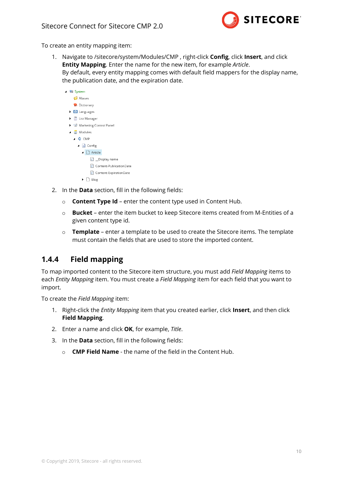

To create an entity mapping item:

1. Navigate to /sitecore/system/Modules/CMP , right-click **Config**, click **Insert**, and click **Entity Mapping**. Enter the name for the new item, for example *Article*. By default, every entity mapping comes with default field mappers for the display name, the publication date, and the expiration date.

| <b>A W</b> System                     |
|---------------------------------------|
| Aliases                               |
| Dictionary                            |
| $\triangleright$ <b>6</b> Languages   |
| <b>I</b> List Manager                 |
| Marketing Control Panel               |
| ▲ (a) Modules                         |
| $\triangle$ CMP                       |
| $\Box$ Config                         |
| $\blacksquare$ $\blacksquare$ Article |
| □ _Display name                       |
| <b>C</b> Content-PublicationDate      |
| <b>Content-ExpirationDate</b>         |
| Blog                                  |

- 2. In the **Data** section, fill in the following fields:
	- o **Content Type Id** enter the content type used in Content Hub.
	- o **Bucket** enter the item bucket to keep Sitecore items created from M-Entities of a given content type id.
	- o **Template** enter a template to be used to create the Sitecore items. The template must contain the fields that are used to store the imported content.

## <span id="page-9-0"></span>**1.4.4 Field mapping**

To map imported content to the Sitecore item structure, you must add *Field Mapping* items to each *Entity Mapping* item. You must create a *Field Mapping* item for each field that you want to import.

To create the *Field Mapping* item:

- 1. Right-click the *Entity Mapping* item that you created earlier, click **Insert**, and then click **Field Mapping**.
- 2. Enter a name and click **OK**, for example, *Title*.
- 3. In the **Data** section, fill in the following fields:
	- o **CMP Field Name** the name of the field in the Content Hub.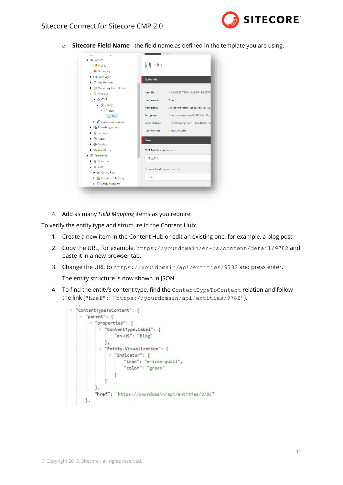

o **Sitecore Field Name** - the field name as defined in the template you are using.



4. Add as many *Field Mapping* items as you require.

To verify the entity type and structure in the Content Hub:

- 1. Create a new item in the Content Hub or edit an existing one, for example, a blog post.
- 2. Copy the URL, for example, https://yourdomain/en-us/content/detail/9782 and paste it in a new browser tab.
- 3. Change the URL to <https://yourdomain/api/entities/9782> and press enter.

The entity structure is now shown in JSON.

4. To find the entity's content type, find the Content Type ToContent relation and follow the link ("href": "https://yourdomain/api/entities/9782").

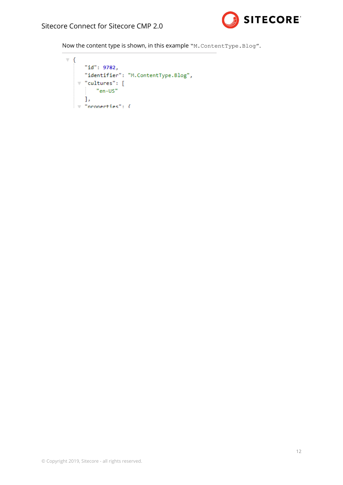

Now the content type is shown, in this example "M. ContentType. Blog".

```
\overline{\mathbf{v}} {
      "id": 9782,
     "identifier": "M.ContentType.Blog",
    \forall "cultures": [
        "en-US"
       \mathbf{L}\overline{\mathbf{v}}^{-n}properties": {
```